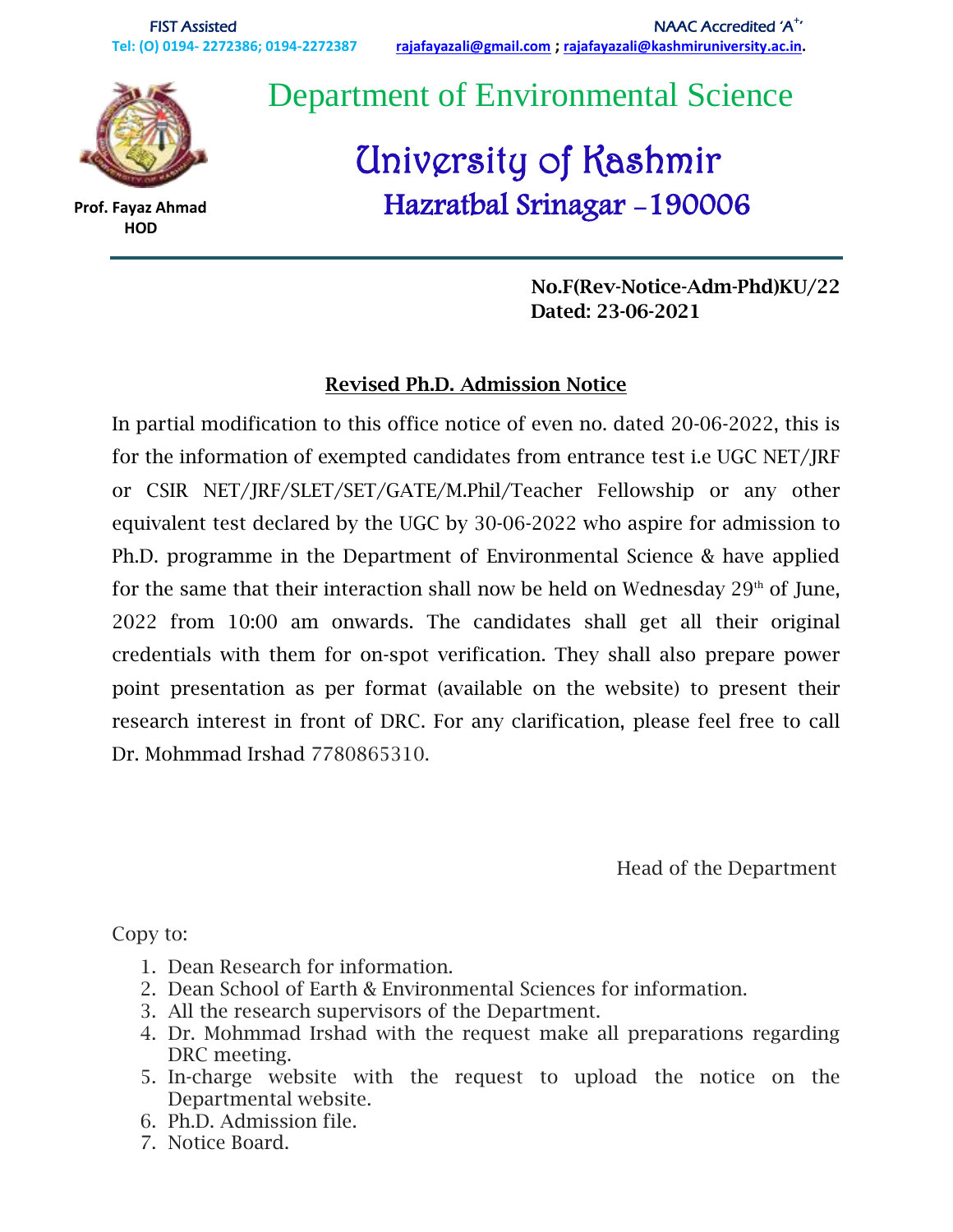

 **HOD**

 **Prof. Fayaz Ahmad**

Department of Environmental Science

# University of Kashmir Hazratbal Srinagar -190006

 **No.F(Rev-Notice-Adm-Phd)KU/22 Dated: 23-06-2021**

#### **Revised Ph.D. Admission Notice**

In partial modification to this office notice of even no. dated 20-06-2022, this is for the information of exempted candidates from entrance test i.e UGC NET/JRF or CSIR NET/JRF/SLET/SET/GATE/M.Phil/Teacher Fellowship or any other equivalent test declared by the UGC by 30-06-2022 who aspire for admission to Ph.D. programme in the Department of Environmental Science & have applied for the same that their interaction shall now be held on Wednesday  $29<sup>th</sup>$  of June, 2022 from 10:00 am onwards. The candidates shall get all their original credentials with them for on-spot verification. They shall also prepare power point presentation as per format (available on the website) to present their research interest in front of DRC. For any clarification, please feel free to call Dr. Mohmmad Irshad 7780865310.

Head of the Department

Copy to:

- 1. Dean Research for information.
- 2. Dean School of Earth & Environmental Sciences for information.
- 3. All the research supervisors of the Department.
- 4. Dr. Mohmmad Irshad with the request make all preparations regarding DRC meeting.
- 5. In-charge website with the request to upload the notice on the Departmental website.
- 6. Ph.D. Admission file.
- 7. Notice Board.